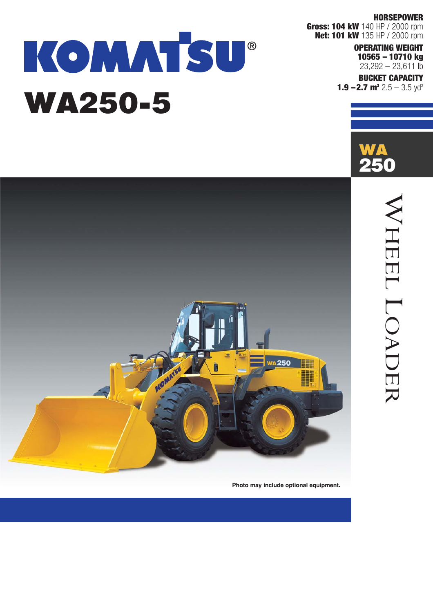#### **HORSEPOWER**

**Gross: 104 kW** 140 HP / 2000 rpm **Net: 101 kW** 135 HP / 2000 rpm

#### **OPERATING WEIGHT 10565 – 10710 kg**   $23,292 - 23,611$  lb

**BUCKET CAPACITY 1.9 –2.7 m<sup>3</sup> 2.5 – 3.5 yd<sup>3</sup>** 





# KOMMTSU® WA250-5



**Photo may include optional equipment.**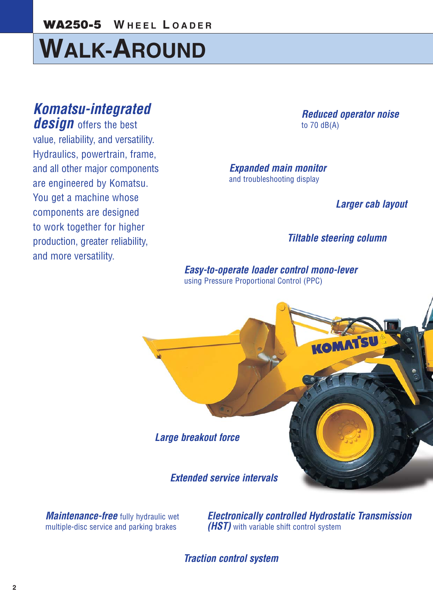**W HEEL L OADER** WA250-5

# **WALK-AROUND**

# *Komatsu-integrated*

**design** offers the best value, reliability, and versatility. Hydraulics, powertrain, frame, and all other major components are engineered by Komatsu. You get a machine whose components are designed to work together for higher production, greater reliability, and more versatility.

*Reduced operator noise*  to 70 dB(A)

*Expanded main monitor*  and troubleshooting display

*Larger cab layout* 

#### *Tiltable steering column*

*Easy-to-operate loader control mono-lever*  using Pressure Proportional Control (PPC)



*Maintenance-free* fully hydraulic wet multiple-disc service and parking brakes

*Electronically controlled Hydrostatic Transmission (HST)* with variable shift control system

*Traction control system*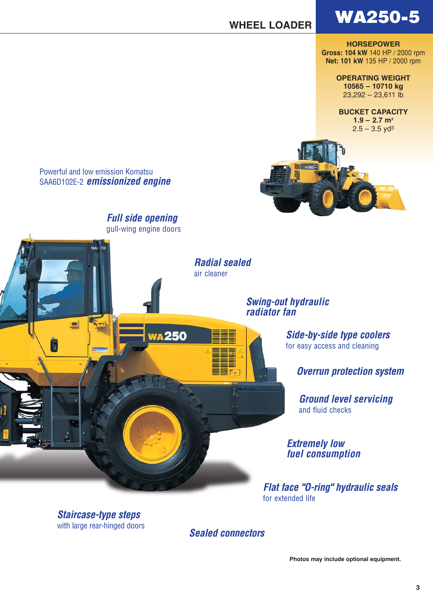### WA250-5

#### **WHEEL LOADER**

**HORSEPOWER Gross: 104 kW** 140 HP / 2000 rpm **Net: 101 kW** 135 HP / 2000 rpm

**OPERATING WEIGHT**

**10565 – 10710 kg**  23,292 – 23,611 lb

**BUCKET CAPACITY**  $1.9 - 2.7$  m<sup>3</sup>  $2.5 - 3.5$  yd<sup>3</sup>



Powerful and low emission Komatsu SAA6D102E-2 *emissionized engine*

 $\bullet$ 

*Full side opening*  gull-wing engine doors

**WA250** 

*Radial sealed* air cleaner

> *Swing-out hydraulic radiator fan*

> > *Side-by-side type coolers* for easy access and cleaning

> > > *Overrun protection system*

*Ground level servicing* and fluid checks

*Extremely low fuel consumption*

*Flat face "O-ring" hydraulic seals* for extended life

*Staircase-type steps* with large rear-hinged doors

*Sealed connectors*

**Photos may include optional equipment.**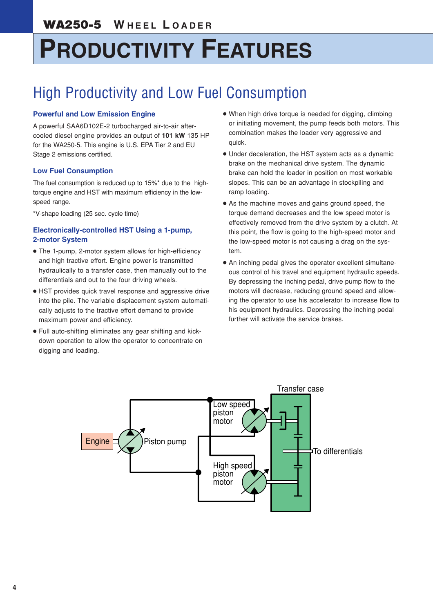# **PRODUCTIVITY FEATURES**

### High Productivity and Low Fuel Consumption

#### **Powerful and Low Emission Engine**

A powerful SAA6D102E-2 turbocharged air-to-air aftercooled diesel engine provides an output of **101 kW** 135 HP for the WA250-5. This engine is U.S. EPA Tier 2 and EU Stage 2 emissions certified.

#### **Low Fuel Consumption**

The fuel consumption is reduced up to 15%\* due to the hightorque engine and HST with maximum efficiency in the lowspeed range.

\*V-shape loading (25 sec. cycle time)

#### **Electronically-controlled HST Using a 1-pump, 2-motor System**

- The 1-pump, 2-motor system allows for high-efficiency and high tractive effort. Engine power is transmitted hydraulically to a transfer case, then manually out to the differentials and out to the four driving wheels.
- HST provides quick travel response and aggressive drive into the pile. The variable displacement system automatically adjusts to the tractive effort demand to provide maximum power and efficiency.
- Full auto-shifting eliminates any gear shifting and kickdown operation to allow the operator to concentrate on digging and loading.
- When high drive torque is needed for digging, climbing or initiating movement, the pump feeds both motors. This combination makes the loader very aggressive and quick.
- Under deceleration, the HST system acts as a dynamic brake on the mechanical drive system. The dynamic brake can hold the loader in position on most workable slopes. This can be an advantage in stockpiling and ramp loading.
- As the machine moves and gains ground speed, the torque demand decreases and the low speed motor is effectively removed from the drive system by a clutch. At this point, the flow is going to the high-speed motor and the low-speed motor is not causing a drag on the system.
- An inching pedal gives the operator excellent simultaneous control of his travel and equipment hydraulic speeds. By depressing the inching pedal, drive pump flow to the motors will decrease, reducing ground speed and allowing the operator to use his accelerator to increase flow to his equipment hydraulics. Depressing the inching pedal further will activate the service brakes.

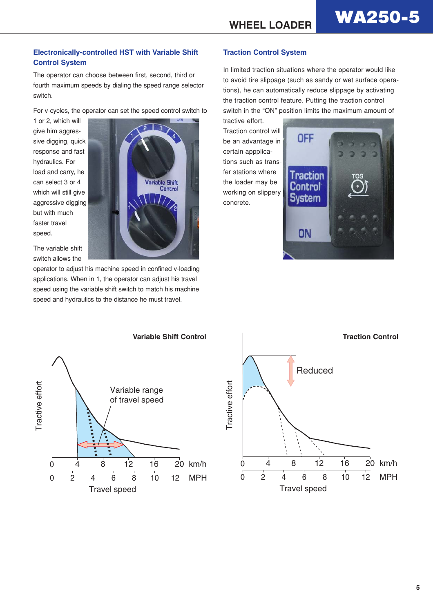#### **Electronically-controlled HST with Variable Shift Control System**

The operator can choose between first, second, third or fourth maximum speeds by dialing the speed range selector switch.

For v-cycles, the operator can set the speed control switch to

**Variable Shift** 

Control

1 or 2, which will give him aggressive digging, quick response and fast hydraulics. For load and carry, he can select 3 or 4 which will still give aggressive digging but with much faster travel speed.

The variable shift switch allows the

operator to adjust his machine speed in confined v-loading applications. When in 1, the operator can adjust his travel speed using the variable shift switch to match his machine speed and hydraulics to the distance he must travel.

#### **Traction Control System**

In limited traction situations where the operator would like to avoid tire slippage (such as sandy or wet surface operations), he can automatically reduce slippage by activating the traction control feature. Putting the traction control switch in the "ON" position limits the maximum amount of

tractive effort. Traction control will be an advantage in certain appplications such as transfer stations where the loader may be working on slippery concrete.





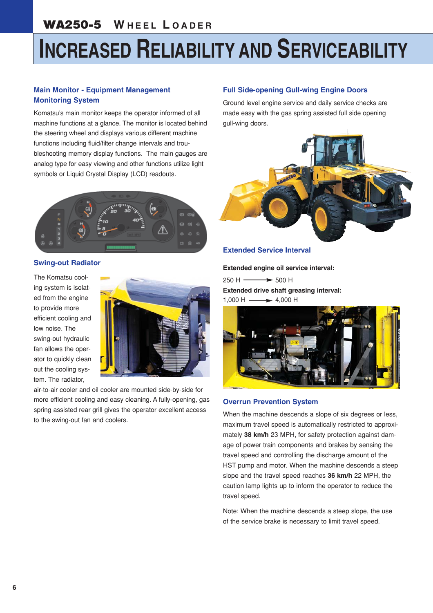#### WA250-5 **W HEEL L OADER**

# **INCREASED RELIABILITY AND SERVICEABILITY**

#### **Main Monitor - Equipment Management Monitoring System**

Komatsu's main monitor keeps the operator informed of all machine functions at a glance. The monitor is located behind the steering wheel and displays various different machine functions including fluid/filter change intervals and troubleshooting memory display functions. The main gauges are analog type for easy viewing and other functions utilize light symbols or Liquid Crystal Display (LCD) readouts.



#### **Swing-out Radiator**

The Komatsu cooling system is isolated from the engine to provide more efficient cooling and low noise. The swing-out hydraulic fan allows the operator to quickly clean out the cooling system. The radiator,



air-to-air cooler and oil cooler are mounted side-by-side for more efficient cooling and easy cleaning. A fully-opening, gas spring assisted rear grill gives the operator excellent access to the swing-out fan and coolers.

#### **Full Side-opening Gull-wing Engine Doors**

Ground level engine service and daily service checks are made easy with the gas spring assisted full side opening gull-wing doors.



#### **Extended Service Interval**

**Extended engine oil service interval:**

 $250 H \longrightarrow 500 H$ **Extended drive shaft greasing interval:**  $1,000$  H  $\longrightarrow$  4.000 H



#### **Overrun Prevention System**

When the machine descends a slope of six degrees or less, maximum travel speed is automatically restricted to approximately **38 km/h** 23 MPH, for safety protection against damage of power train components and brakes by sensing the travel speed and controlling the discharge amount of the HST pump and motor. When the machine descends a steep slope and the travel speed reaches **36 km/h** 22 MPH, the caution lamp lights up to inform the operator to reduce the travel speed.

Note: When the machine descends a steep slope, the use of the service brake is necessary to limit travel speed.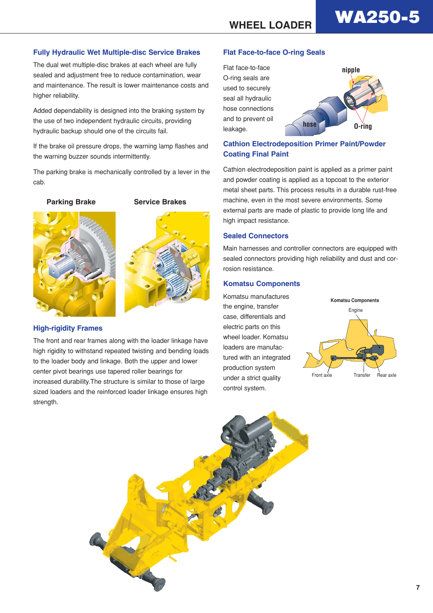# **WA250-5**

**nipple**

#### **Fully Hydraulic Wet Multiple-disc Service Brakes**

The dual wet multiple-disc brakes at each wheel are fully sealed and adjustment free to reduce contamination, wear and maintenance. The result is lower maintenance costs and higher reliability.

Added dependability is designed into the braking system by the use of two independent hydraulic circuits, providing hydraulic backup should one of the circuits fail.

If the brake oil pressure drops, the warning lamp flashes and the warning buzzer sounds intermittently.

The parking brake is mechanically controlled by a lever in the cab.

**Parking Brake Service Brakes**





#### **High-rigidity Frames**

The front and rear frames along with the loader linkage have high rigidity to withstand repeated twisting and bending loads to the loader body and linkage. Both the upper and lower center pivot bearings use tapered roller bearings for increased durability.The structure is similar to those of large sized loaders and the reinforced loader linkage ensures high strength.

#### **Flat Face-to-face O-ring Seals**



#### **Cathion Electrodeposition Primer Paint/Powder Coating Final Paint**

Cathion electrodeposition paint is applied as a primer paint and powder coating is applied as a topcoat to the exterior metal sheet parts. This process results in a durable rust-free machine, even in the most severe environments. Some external parts are made of plastic to provide long life and high impact resistance.

#### **Sealed Connectors**

Main harnesses and controller connectors are equipped with sealed connectors providing high reliability and dust and corrosion resistance.

#### **Komatsu Components**

Komatsu manufactures the engine, transfer case, differentials and electric parts on this wheel loader. Komatsu loaders are manufactured with an integrated production system under a strict quality control system.



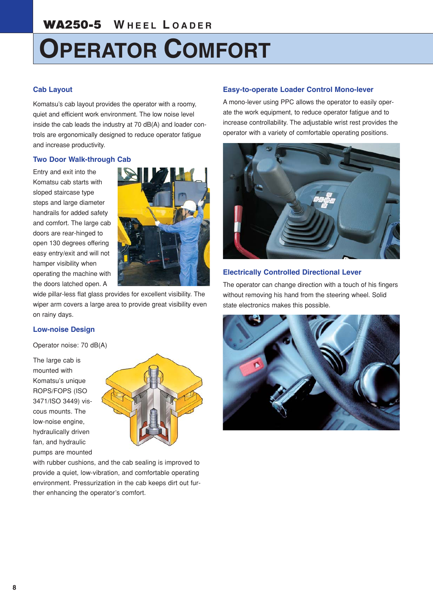# **OPERATOR COMFORT**

#### **Cab Layout**

Komatsu's cab layout provides the operator with a roomy, quiet and efficient work environment. The low noise level inside the cab leads the industry at 70 dB(A) and loader controls are ergonomically designed to reduce operator fatigue and increase productivity.

#### **Two Door Walk-through Cab**

Entry and exit into the Komatsu cab starts with sloped staircase type steps and large diameter handrails for added safety and comfort. The large cab doors are rear-hinged to open 130 degrees offering easy entry/exit and will not hamper visibility when operating the machine with the doors latched open. A



wide pillar-less flat glass provides for excellent visibility. The wiper arm covers a large area to provide great visibility even on rainy days.

#### **Low-noise Design**

Operator noise: 70 dB(A)

The large cab is mounted with Komatsu's unique ROPS/FOPS (ISO 3471/ISO 3449) viscous mounts. The low-noise engine, hydraulically driven fan, and hydraulic pumps are mounted



with rubber cushions, and the cab sealing is improved to provide a quiet, low-vibration, and comfortable operating environment. Pressurization in the cab keeps dirt out further enhancing the operator's comfort.

#### **Easy-to-operate Loader Control Mono-lever**

A mono-lever using PPC allows the operator to easily operate the work equipment, to reduce operator fatigue and to increase controllability. The adjustable wrist rest provides the operator with a variety of comfortable operating positions.



#### **Electrically Controlled Directional Lever**

The operator can change direction with a touch of his fingers without removing his hand from the steering wheel. Solid state electronics makes this possible.

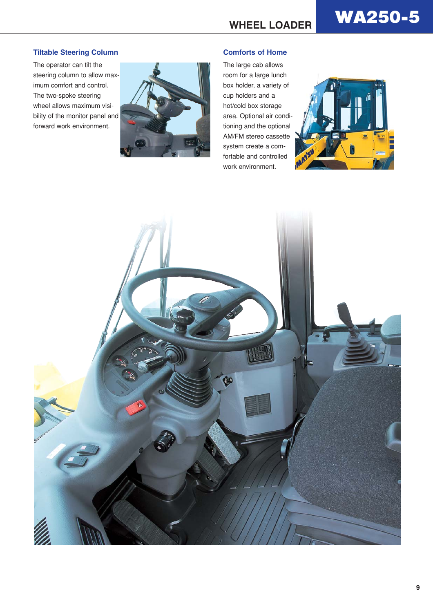# **WHEEL LOADER** WA250-5

#### **Tiltable Steering Column**

The operator can tilt the steering column to allow maximum comfort and control. The two-spoke steering wheel allows maximum visibility of the monitor panel and forward work environment.



#### **Comforts of Home**

The large cab allows room for a large lunch box holder, a variety of cup holders and a hot/cold box storage area. Optional air conditioning and the optional AM/FM stereo cassette system create a comfortable and controlled work environment.



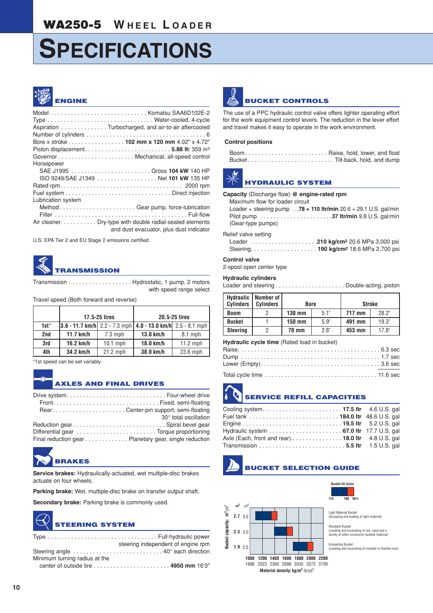#### WA250-5 **W HEEL L OADER**

# **SPECIFICATIONS**



#### Model . . . . . . . . . . . . . . . . . . . . . . . . . . . . . Komatsu SAA6D102E-2 Type . . . . . . . . . . . . . . . . . . . . . . . . . . . . . . . . Water-cooled, 4-cycle Aspiration . . . . . . . . . . . . . . Turbocharged, and air-to-air aftercooled Number of cylinders . . . . . . . . . . . . . . . . . . . . . . . . . . . . . . . . . . . . 6 Bore x stroke . . . . . . . . . . . . . . . . . **102 mm x 120 mm** 4.02" x 4.72" Piston displacement. . . . . . . . . . . . . . . . . . . . . . . . . . **5.88 lt**r 359 in3 Governor . . . . . . . . . . . . . . . . . . . . . . . Mechanical, all-speed control Horsepower SAE J1995 . . . . . . . . . . . . . . . . . . . . . . . . Gross **104 kW** 140 HP ISO 9249/SAE J1349 . . . . . . . . . . . . . . . . . . Net **101 kW** 135 HP Rated rpm. . . . . . . . . . . . . . . . . . . . . . . . . . . . . . . . . . . . . 2000 rpm Fuel system . . . . . . . . . . . . . . . . . . . . . . . . . . . . . . . . Direct injection Lubrication system Method . . . . . . . . . . . . . . . . . . . . . . . Gear pump, force-lubrication Filter . . . . . . . . . . . . . . . . . . . . . . . . . . . . . . . . . . . . . . . . Full-flow Air cleaner. . . . . . . . . . . Dry-type with double radial-sealed elements and dust evacuator, plus dust indicator

U.S. EPA Tier 2 and EU Stage 2 emissions certified.

## **TRANSMISSION**

Transmission . . . . . . . . . . . . . . . . . . . Hydrostatic, 1 pump, 2 motors with speed range select

Travel speed (Both forward and reverse)

|        |           | 17.5-25 tires |                                                                         | 20.5-25 tires |
|--------|-----------|---------------|-------------------------------------------------------------------------|---------------|
| $1st*$ |           |               | $ 3.6 - 11.7$ km/h $ 2.2 - 7.3$ mph $ 4.0 - 13.0$ km/h $ 2.5 - 8.1$ mph |               |
| 2nd    | 11.7 km/h | $7.3$ mph     | $13.0$ km/h                                                             | $8.1$ mph     |
| 3rd    | 16.2 km/h | $10.1$ mph    | 18.0 km/h                                                               | $11.2$ mph    |
| 4th    | 34.2 km/h | $21.2$ mph    | 38.0 km/h                                                               | 23.6 mph      |

\*1st speed can be set variably

#### **AXLES AND FINAL DRIVES**

|                                                       | 30° total oscillation |
|-------------------------------------------------------|-----------------------|
| Reduction gear Spiral bevel gear                      |                       |
|                                                       |                       |
| Final reduction gear Planetary gear, single reduction |                       |

### **BRAKES**

**Service brakes:** Hydraulically-actuated, wet multiple-disc brakes actuate on four wheels.

**Parking brake:** Wet, multiple-disc brake on transfer output shaft.

Secondary brake: Parking brake is commonly used.

### **TEERING SYSTEM**

|                               | steering independent of engine rpm                                         |
|-------------------------------|----------------------------------------------------------------------------|
|                               |                                                                            |
| Minimum turning radius at the |                                                                            |
|                               | center of outside tire $\dots\dots\dots\dots\dots\dots\dots$ 4950 mm 16'3" |



The use of a PPC hydraulic control valve offers lighter operating effort for the work equipment control levers. The reduction in the lever effort and travel makes it easy to operate in the work environment.

#### **Control positions**

| BoomRaise, hold, lower, and float |  |
|-----------------------------------|--|
|                                   |  |



#### **HYDRAULIC SYSTEM**

**Capacity** (Discharge flow) **@ engine-rated rpm**

Maximum flow for loader circuit

Loader + steering pump . .**78 + 110 ltr/min** 20.6 + 29.1 U.S. gal/min Pilot pump . . . . . . . . . . . . . . . . . . . . . .**37 ltr/min** 9.8 U.S. gal/min (Gear-type pumps)

#### Relief valve setting

#### **Control valve**

2-spool open center type

#### **Hydraulic cylinders**

Loader and steering . . . . . . . . . . . . . . . . . . . . . Double-acting, piston

| <b>Hydraulic</b><br><b>Cylinders</b>        | Number of<br><b>Cylinders</b> | <b>Bore</b> |               | <b>Stroke</b> |                |  |  |  |  |
|---------------------------------------------|-------------------------------|-------------|---------------|---------------|----------------|--|--|--|--|
| <b>Boom</b>                                 | $\overline{2}$                | $130$ mm    | 5.1"          | 717 mm        | 28.2"          |  |  |  |  |
| <b>Bucket</b>                               |                               | 150 mm      | 5.9"          | 491 mm        | 19.3"          |  |  |  |  |
| <b>Steering</b>                             | $\overline{2}$                | 70 mm       | $2.8^{\circ}$ | 453 mm        | $17.8^{\circ}$ |  |  |  |  |
| Hydraulic cycle time (Rated load in bucket) |                               |             |               |               |                |  |  |  |  |
|                                             |                               |             |               |               |                |  |  |  |  |

#### **SERVICE REFILL CAPACITIES**

| Cooling system 17.5 ltr 4.6 U.S. gal                                                        |  |
|---------------------------------------------------------------------------------------------|--|
| Fuel tank  184.0 Itr 48.6 U.S. gal                                                          |  |
|                                                                                             |  |
|                                                                                             |  |
| Axle (Each, front and rear) 18.0 Itr 4.8 U.S. gal                                           |  |
| Transmission $\ldots \ldots \ldots \ldots \ldots \ldots \ldots \ldots 5.5$ Itr 1.5 U.S. gal |  |

#### **BUCKET SELECTION GUIDE**

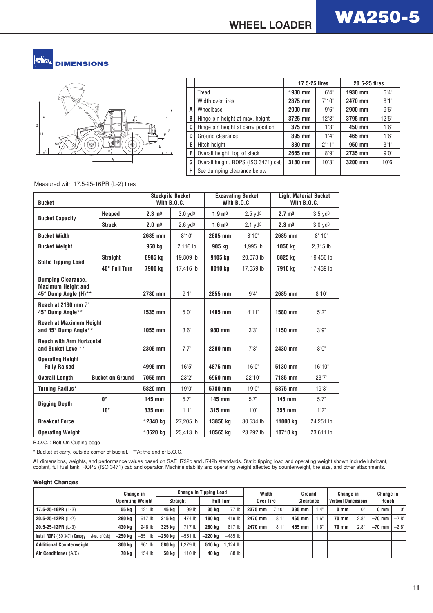#### **DIMENSIONS**



|   |                                     | 17.5-25 tires |        | 20.5-25 tires |       |
|---|-------------------------------------|---------------|--------|---------------|-------|
|   | Tread                               | 1930 mm       | 6'4''  | 1930 mm       | 6'4'' |
|   | Width over tires                    | 2375 mm       | 7'10'' | 2470 mm       | 8'1'' |
| A | Wheelbase                           | 2900 mm       | 9'6''  | 2900 mm       | 9'6'' |
| B | Hinge pin height at max. height     | 3725 mm       | 12'3'' | 3795 mm       | 12'5" |
| C | Hinge pin height at carry position  | 375 mm        | 1'3''  | 450 mm        | 1'6'' |
| D | Ground clearance                    | 395 mm        | 1'4''  | 465 mm        | 1'6'' |
| E | Hitch height                        | 880 mm        | 2'11"  | 950 mm        | 3'1'' |
| F | Overall height, top of stack        | 2665 mm       | 8'9''  | 2735 mm       | 9'0'' |
| G | Overall height, ROPS (ISO 3471) cab | 3130 mm       | 10'3"  | 3200 mm       | 10'6  |
| Н | See dumping clearance below         |               |        |               |       |

Measured with 17.5-25-16PR (L-2) tires

| <b>Bucket</b>                                          |                         | <b>Stockpile Bucket</b><br>With $B.0.C.$ |                       |                               | <b>Excavating Bucket</b><br>With B.O.C. | <b>Light Material Bucket</b><br>With B.O.C. |                     |  |
|--------------------------------------------------------|-------------------------|------------------------------------------|-----------------------|-------------------------------|-----------------------------------------|---------------------------------------------|---------------------|--|
| <b>Bucket Capacity</b>                                 | <b>Heaped</b>           | $2.3 \text{ m}^3$                        | $3.0$ yd $3$          | $1.9 \text{ m}^3$             | $2.5$ yd <sup>3</sup>                   | $2.7 \text{ m}^3$                           | $3.5$ $\text{Vd}^3$ |  |
|                                                        | <b>Struck</b>           | 2.0 <sub>m</sub>                         | $2.6$ yd <sup>3</sup> | 1.6 <sup> m<sub>3</sub></sup> | $2.1$ yd <sup>3</sup>                   | $2.3 \text{ m}^3$                           | $3.0$ yd $3$        |  |
| <b>Bucket Width</b>                                    |                         | 2685 mm                                  | 8'10"                 | 2685 mm                       | 8'10"                                   | 2685 mm                                     | 8'10''              |  |
| <b>Bucket Weight</b>                                   |                         | 960 kg                                   | 2,116 lb              | 905 kg                        | 1,995 lb                                | 1050 kg                                     | 2,315 lb            |  |
| <b>Static Tipping Load</b>                             | <b>Straight</b>         | 8985 kg                                  | 19,809 lb             | 9105 kg                       | 20,073 lb                               | 8825 kg                                     | 19,456 lb           |  |
|                                                        | 40° Full Turn           | 7900 kg                                  | 17.416 lb             | 8010 kg                       | 17.659 lb                               | 7910 kg                                     | 17,439 lb           |  |
| <b>Dumping Clearance,</b>                              |                         |                                          |                       |                               |                                         |                                             |                     |  |
| <b>Maximum Height and</b><br>45° Dump Angle (H)**      |                         | 2780 mm                                  | 9'1"                  | 2855 mm                       | 9'4''                                   | 2685 mm                                     | 8'10"               |  |
| <b>Reach at 2130 mm 7'</b><br>45° Dump Angle**         |                         | 1535 mm                                  | 5'0''                 | 1495 mm                       | 4'11"                                   | 1580 mm                                     | 5'2''               |  |
| <b>Reach at Maximum Height</b><br>and 45° Dump Angle** |                         | 1055 mm                                  | 3'6''                 | 980 mm                        | 3'3"                                    | 1150 mm                                     | 3'9''               |  |
| <b>Reach with Arm Horizontal</b><br>and Bucket Level** |                         | 2305 mm                                  | 7'7''                 | 2200 mm                       | 7'3''                                   | 2430 mm                                     | 8'0''               |  |
| <b>Operating Height</b><br><b>Fully Raised</b>         |                         | 4995 mm                                  | 16'5''                | 4875 mm                       | 16'0''                                  | 5130 mm                                     | 16'10"              |  |
| <b>Overall Length</b>                                  | <b>Bucket on Ground</b> | 7055 mm                                  | 23'2"                 | 6950 mm                       | 22'10"                                  | 7185 mm                                     | 23'7''              |  |
| Turning Radius*                                        |                         | 5820 mm                                  | 19'0''                | 5780 mm                       | 19'0''                                  | 5875 mm                                     | 19'3"               |  |
| <b>Digging Depth</b>                                   | $0^{\circ}$             | 145 mm                                   | 5.7"                  | 145 mm                        | 5.7"                                    | 145 mm                                      | 5.7"                |  |
|                                                        | $10^{\circ}$            | 335 mm                                   | 1'1"                  | 315 mm                        | 1'0''                                   | 355 mm                                      | 1'2''               |  |
| <b>Breakout Force</b>                                  |                         | 12340 ka                                 | 27.205 lb             | 13850 kg                      | 30.534 lb                               | 11000 kg                                    | 24.251 lb           |  |
| <b>Operating Weight</b>                                |                         | 10620 kg                                 | 23,413 lb             | 10565 kg                      | 23,292 lb                               | 10710 kg                                    | 23,611 lb           |  |

B.O.C. : Bolt-On Cutting edge

\* Bucket at carry, outside corner of bucket. \*\*At the end of B.O.C.

All dimensions, weights, and performance values based on SAE J732c and J742b standards. Static tipping load and operating weight shown include lubricant, coolant, full fuel tank, ROPS (ISO 3471) cab and operator. Machine stability and operating weight affected by counterweight, tire size, and other attachments.

#### **Weight Changes**

|                                                 | Change in<br><b>Operating Weight</b> |               | <b>Change in Tipping Load</b> |                  |                  | Width     |           | Ground |           | Change in |                            | Change in     |                 |             |
|-------------------------------------------------|--------------------------------------|---------------|-------------------------------|------------------|------------------|-----------|-----------|--------|-----------|-----------|----------------------------|---------------|-----------------|-------------|
|                                                 |                                      |               | <b>Straight</b>               |                  | <b>Full Turn</b> |           | Over Tire |        | Clearance |           | <b>Vertical Dimensions</b> |               | Reach           |             |
| 17.5-25-16PR $(L-3)$                            | 55 ka                                | $121$ lb      | 45 ka                         | 99 lb            | 35 ka            | 77 lb     | 2375 mm   | 7'10'' | 395 mm    | 1'4'      | 0 <sub>mm</sub>            | 0"            | 0 <sub>mm</sub> | $0^{\circ}$ |
| 20.5-25-12PR (L-2)                              | <b>280 kg</b>                        | 617 lb        | 215 kg                        | 474 lb           | 190 ka           | 419 lb    | 2470 mm   | 8'1''  | 465 mm    | 1'6''     | 70 mm                      | $2.8^{\circ}$ | $-70$ mm        | $-2.8$ "    |
| 20.5-25-12PR (L-3)                              | 430 kg                               | 948 lb        | 325 kg                        | 717 lb           | <b>280 kg</b>    | 617 lb    | 2470 mm   | 8'1''  | 465 mm    | 1'6''     | 70 mm                      | $2.8^{\circ}$ | $-70$ mm        | $-2.8$ "    |
| Install ROPS (ISO 3471) Canopy (Instead of Cab) | –250 kg                              | $-551$<br>-lb | –250 ka                       | $-551$ lb        | –220 ka          | $-485$ lb |           |        |           |           |                            |               |                 |             |
| <b>Additional Counterweight</b>                 | 300 kg                               | 661 lb        | <b>580 kg</b>                 | 1.279 lb         | 510 kg           | 1.124 lb  |           |        |           |           |                            |               |                 |             |
| Air Conditioner (A/C)                           | 70 kg                                | 154 lb        | <b>50 kg</b>                  | 10 <sub>1b</sub> | 40 kg            | 88 lb     |           |        |           |           |                            |               |                 |             |